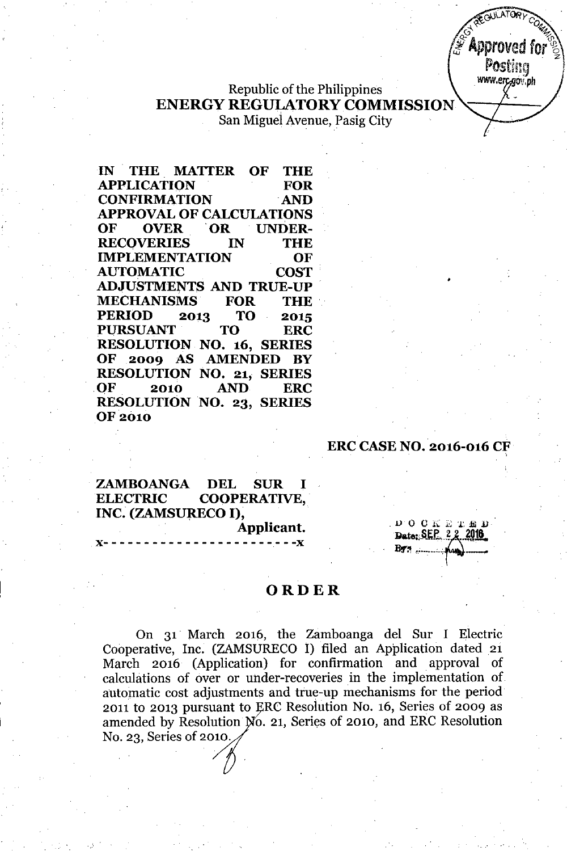`Approved for Postina www.erc.gov.ph

**COULATORY** 

# Republic of the Philippines **ENERGY** REGULATORY COMMISSION San Miguel Avenue, Pasig City

**IN . THE. MATTER OF THE APPLICATION FOR CONFIRMATION .AND APPROVAL OF CALCULATIONS OF OVER .OR UNDER-RECOVERIES IN THE IMPLEMENTATION OF AUTOMATIC COST . ADJUSTMENTS AND TRUE-Up. MECHANISMS FOR THE. PERIOD 2013 TO 2015 PURSUANT TO ERC RESOLUTION NO. 16, SERIES OF 2009 AS AMENDED BY RESOLUTION NO. 21, SERIES OF . 2010 AND ERC RESOLUTION NO. 23, SERIES** OF 2010

# **ERC CASE NO. 2016-016 CF**

 $B\triangledown$  and  $B\triangledown$ 

DOCKETED<br>Date: SEP 22 2016

•

**ZAMBOANGA DEL SUR I ELECTRIC COOPERATIVE, INC. (ZAMSURECO I),**

**x- - - - - - - - - - - - - - - - - - - - -.- - -x**

**Applicant.**

### **ORDER**

On 31 March 2016, the Zamboanga del Sur I Electric Cooperative, Inc. (ZAMSURECO I) filed an Application dated 21 March 2016 (Application) for confirmation and approval of calculations of over or under-recoveries in the implementation of automatic cost adjustments and true-up mechanisms for the period 2011 to 2013 pursuant to RC Resolution No. 16, Series of 2009 as amended by Resolution No. 21, Series of 2010, and ERC Resolution No. 23, Series of 2010.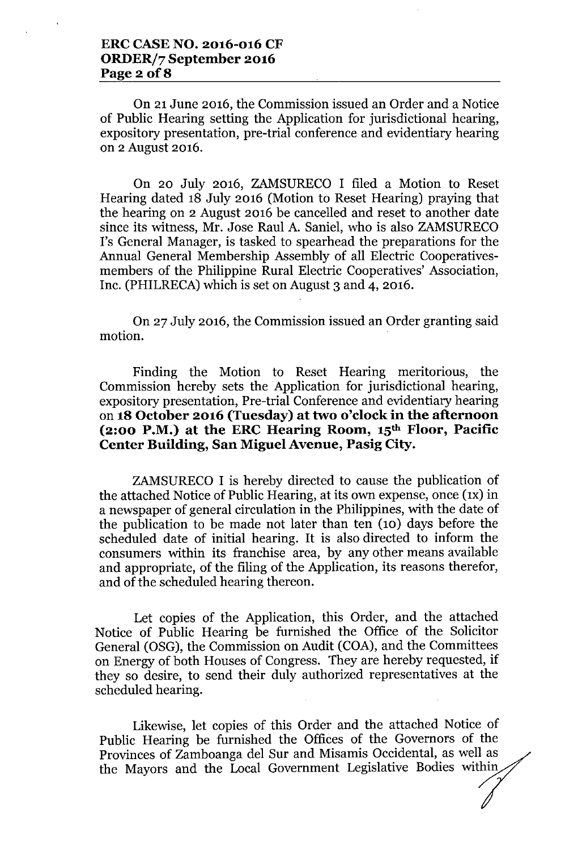On 21 June 2016, the Commission issued an Order and a Notice of Public Hearing setting the Application for jurisdictional hearing, expository presentation, pre-trial conference and evidentiary hearing on 2 August 2016.

On 20 July 2016, ZAMSURECO I filed a Motion to Reset Hearing dated 18 July 2016 (Motion to Reset Hearing) praying that the hearing on 2 August 2016 be cancelled and reset to another date since its witness, Mr. Jose Raul A. Saniel, who is also ZAMSURECO 1's General Manager, is tasked to spearhead the preparations for the Annual General Membership Assembly of all Electric Cooperativesmembers of the Philippine Rural Electric Cooperatives' Association, Inc. (PHILRECA) which is set on August 3 and 4, 2016.

On 27 July 2016, the Commission issued an Order granting said motion.

Finding the Motion to Reset Hearing meritorious, the Commission hereby sets the Application for jurisdictional hearing, expository presentation, Pre-trial Conference and evidentiary hearing on **18 October 2016 (Tuesday) at two o'clock in the afternoon (2:00 P.M.) at the ERC Hearing Room, 15th Floor, Pacific Center Building, San Miguel Avenue, Pasig City.**

ZAMSURECO I is hereby directed to cause the publication of the attached Notice of Public Hearing, at its own expense, once (1x) in a newspaper of general circulation in the Philippines, with the date of the publication to be made not later than ten (10) days before the scheduled date of initial hearing. It is also directed to inform the consumers within its franchise area, by any other means available and appropriate, of the filing of the Application, its reasons therefor, and of the scheduled hearing thereon.

Let copies of the Application, this Order, and the attached Notice of Public Hearing be furnished the Office of the Solicitor General (OSG), the Commission on Audit (COA), and the Committees on Energy of both Houses of Congress. They are hereby requested, if they so desire, to send their duly authorized representatives at the scheduled hearing.

Likewise, let copies of this Order and the attached Notice of Public Hearing be furnished the Offices of the Governors of the Provinces of Zamboanga del Sur and Misamis Occidental, as well as the Mayors and the Local Government Legislative Bodies within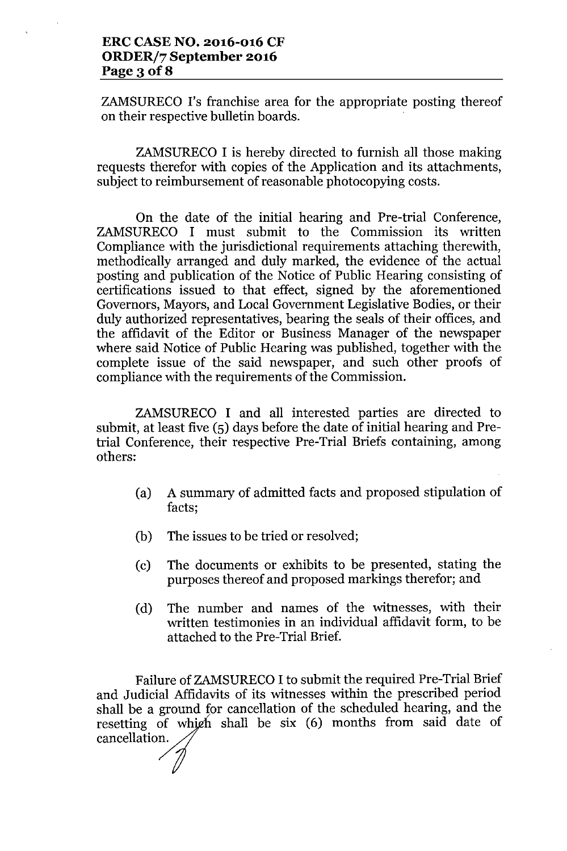ZAMSURECO 1's franchise area for the appropriate posting thereof on their respective bulletin boards.

ZAMSURECO I is hereby directed to furnish all those making requests therefor with copies of the Application and its attachments, subject to reimbursement of reasonable photocopying costs.

On the date of the initial hearing and Pre-trial Conference, ZAMSURECO I must submit to the Commission its written Compliance with the jurisdictional requirements attaching therewith, methodically arranged and duly marked, the evidence of the actual posting and publication of the Notice of Public Hearing consisting of certifications issued to that effect, signed by the aforementioned Governors, Mayors, and Local Government Legislative Bodies, or their duly authorized representatives, bearing the seals of their offices, and the affidavit of the Editor or Business Manager of the newspaper where said Notice of Public Hearing was published, together with the complete issue of the said newspaper, and such other proofs of compliance with the requirements of the Commission.

ZAMSURECO I and all interested parties are directed to submit, at least five (5) days before the date of initial hearing and Pretrial Conference, their respective Pre-Trial Briefs containing, among others:

- (a) A summary of admitted facts and proposed stipulation of facts;
- (b) The issues to be tried or resolved;
- (c) The documents or exhibits to be presented, stating the purposes thereof and proposed markings therefor; and
- (d) The number and names of the witnesses, with their written testimonies in an individual affidavit form, to be attached to the Pre-Trial Brief.

Failure of ZAMSURECO I to submit the required Pre-Trial Brief and Judicial Affidavits of its witnesses within the prescribed period shall be a ground for cancellation of the scheduled hearing, and the resetting of which shall be six (6) months from said date of cancellation.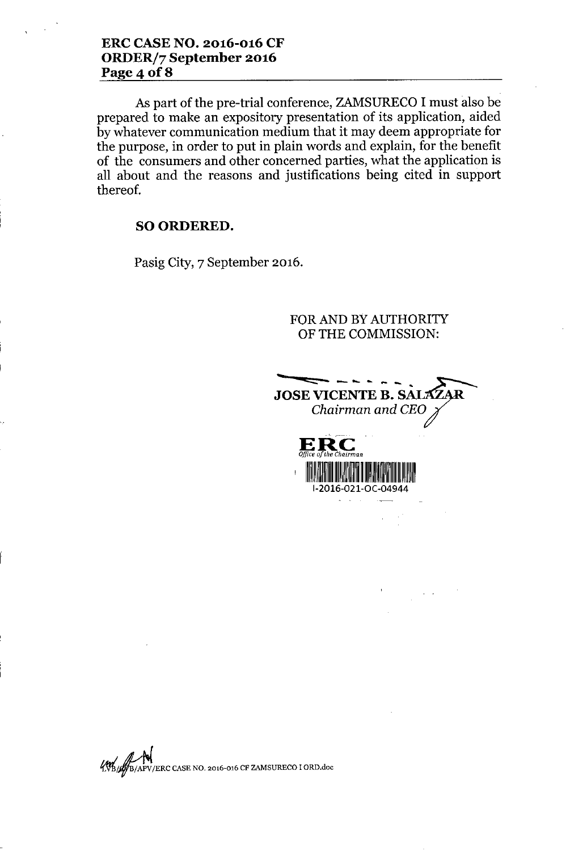As part of the pre-trial conference, ZAMSURECO I must also be prepared to make an expository presentation of its application, aided by whatever communication medium that it may deem appropriate for the purpose, in order to put in plain words and explain, for the benefit of the consumers and other concerned parties, what the application is all about and the reasons and justifications being cited in support thereof.

*Office*

*a/the Chairman*

## SO ORDERED.

Pasig City, 7 September 2016.

FOR AND BY AUTHORITY OF THE COMMISSION:

**ze:::: -- -... •.. \_ \_ •••** JOSE VICENTE B. SALA *Chairman and CEO* -, **ERe**

, 111'illi lahkada oo ka mid ah samaalad ka mid ah samaalad ka mid ah samaalad ka mid ah samaalad ka mid ah s 1-2016-021-0C-04944



*~j;;.~/ERC*CASE NO. 2016-016 CF ZAMSURECO IORD.doc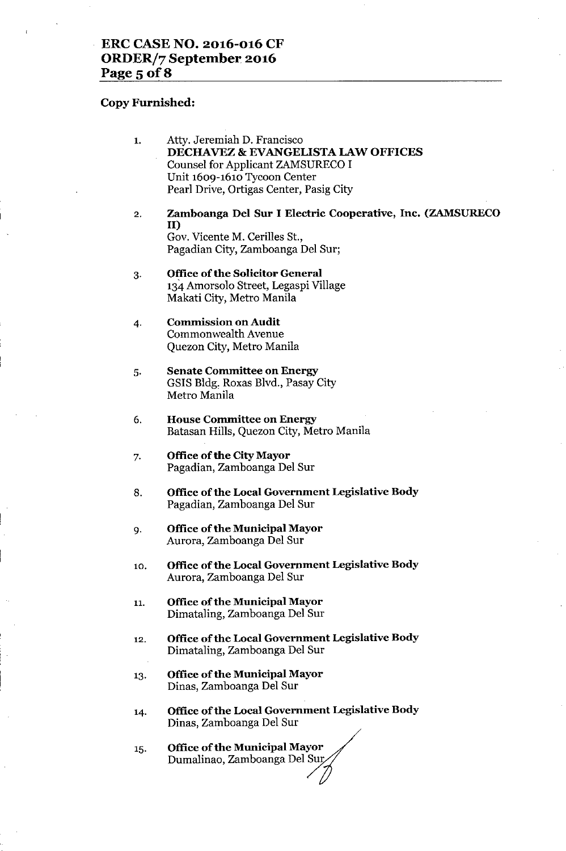#### **Copy Furnished:**

- 1. Atty. Jeremiah D. Francisco **DECHA VEZ & EVANGELISTA LAW OFFICES** Counsel for Applicant ZAMSURECO I Unit 1609-1610 Tycoon Center Pearl Drive, Ortigas Center, Pasig City
- 2. **Zamboanga Del Sur I Electric Cooperative, Inc. (ZAMSURECO** II) Gov. Vicente M. Cerilles St., Pagadian City, Zamboanga Del Sur;
- 3. **Office** of the **Solicitor General** 134 Amorsolo Street, Legaspi Village Makati City, Metro Manila
- 4. **Commission on Audit** Commonwealth Avenue Quezon City, Metro Manila
- 5. **Senate Committee on Energy** GSIS Bldg, Roxas Blvd., Pasay City Metro Manila
- 6. **House Committee on Energy** Batasan Hills, Quezon City, Metro Manila
- 7. **Office of the City Mayor** Pagadian, Zamboanga Del Sur
- 8. **Office** of the **Local Government Legislative Body** Pagadian, Zamboanga Del Sur
- 9. **Office** of the **Municipal Mayor** Aurora, Zamboanga Del Sur
- 10. **Office** of the **Local Government Legislative Body** Aurora, Zamboanga Del Sur
- 11. **Office** of the **Municipal Mayor** Dimataling, Zamboanga Del Sur
- 12. **Office** of the **Local Government Legislative Body** Dimataling, Zamboanga Del Sur
- 13. **Office** of the **Municipal Mayor** Dinas, Zamboanga Del Sur
- 14. **Office ofthe Local Government Legislative Body** Dinas, Zamboanga Del Sur
- 15. **Office of the Municipal Mayor** Dumalinao, Zamboanga Del Sur,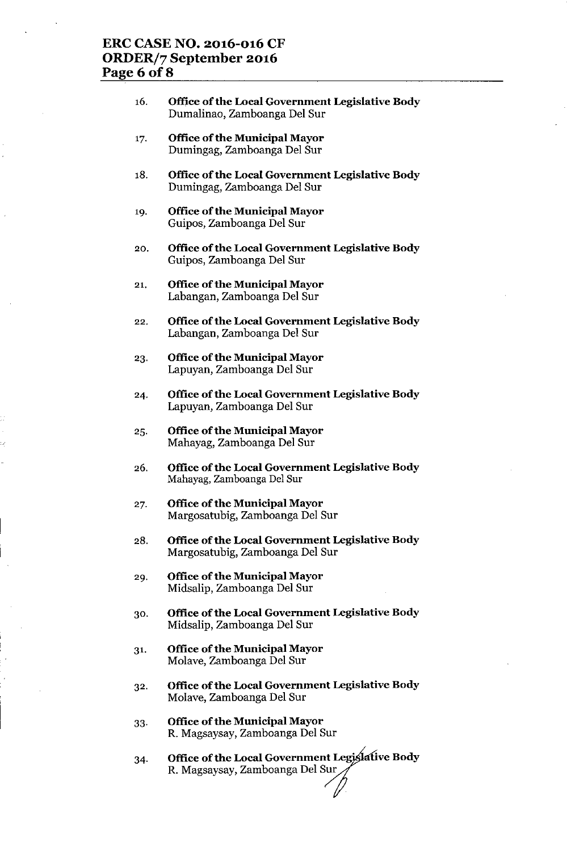# **ERC CASE NO. 2016-016 CF ORDER/7 September 2016 Page 6 of8**

- 16. **Office** of the **Local Government Legislative Body** Dumalinao, Zamboanga Del Sur
- 17. **Office** of the **Municipal Mayor** Dumingag, Zamboanga Del Sur
- 18. **Office** of the **Local Government Legislative Body** Dumingag, Zamboanga Del Sur
- **Office** of the **Municipal Mayor** 19. Guipos, Zamboanga Del Sur
- 20. **Office** of the **Local Government Legislative Body** Guipos, Zamboanga Del Sur
- 21. **Office** of the **Municipal Mayor** Labangan, Zamboanga Del Sur
- 22. **Office** of the **Local Government Legislative Body** Labangan, Zamboanga Del Sur
- 23. **Office** of the **Municipal Mayor** Lapuyan, Zamboanga Del Sur
- 24. **Office** of the **Local Government Legislative Body** Lapuyan, Zamboanga Del Sur
- 25. **Office** of the **Municipal Mayor** Mahayag, Zamboanga Del Sur
- 26. **Office** of the **Local Government Legislative Body** Mahayag, Zamboanga Del Sur
- 27. **Office** of the **Municipal Mayor** Margosatubig, Zamboanga Del Sur
- 28. **Office** of the **Local Government Legislative Body** Margosatubig, Zamboanga Del Sur
- **Office** of the **Municipal Mayor** 29. Midsalip, Zamboanga Del Sur
- 30. **Office** of the **Local Government Legislative Body** Midsalip, Zamboanga Del Sur
- 31. **Office** of the **Municipal Mayor** Molave, Zamboanga Del Sur
- 32. **Office** of the **Local Government Legislative Body** Molave, Zamboanga Del Sur
- 33. **Office** of the **Municipal Mayor** R. Magsaysay, Zamboanga Del Sur
- 34. Office of the Local Government Legislative Body R. Magsaysay, Zamboanga Del Sur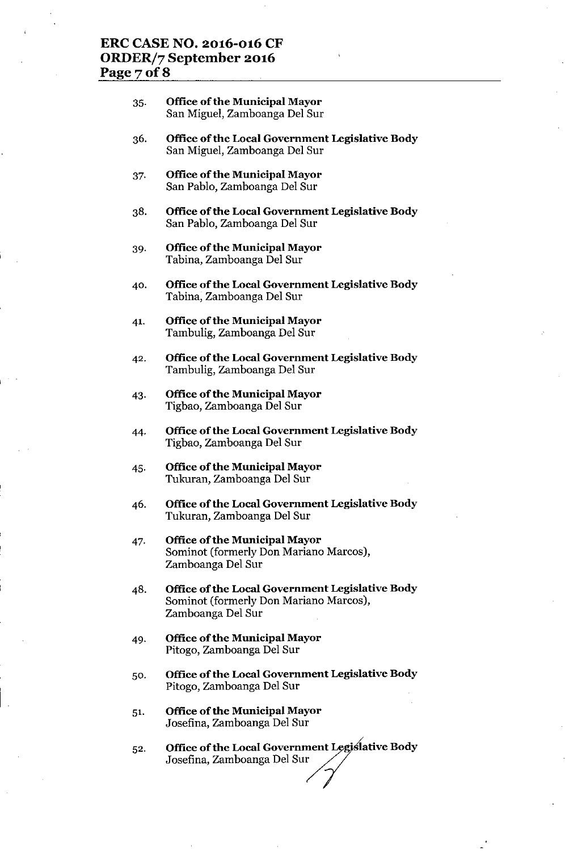# **ERC CASE NO. 2016-016 CF ORDER/7 September 2016 Page7of8**

#### 35. **Office ofthe Municipal Mayor** San Miguel, Zamboanga Del Sur

- **Office** of the **Local Government Legislative Body** 36. San Miguel, Zamboanga Del Sur
- 37. **Office** of the **Municipal Mayor** San Pablo, Zamboanga Del Sur
- 38. **Office** of the **Local Government Legislative Body** San Pablo, Zamboanga Del Sur
- 39. **Office** of the **Municipal Mayor** Tabina, Zamboanga Del Sur
- 40. **Office** of the **Local Government Legislative Body** Tabina, Zamboanga Del Sur
- 41. **Office** of the **Municipal Mayor** Tambulig, Zamboanga Del Sur
- 42. **Office** of the **Local Government Legislative Body** Tambulig, Zamboanga Del Sur
- 43. **Office** of the **Municipal Mayor** Tigbao, Zamboanga Del Sur
- 44. **Office** of the **Local Government Legislative Body** Tigbao, Zamboanga Del Sur
- 45. **Office** of the **Municipal Mayor** Tukuran, Zamboanga Del Sur
- 46. **Office** of the **Local Government Legislative Body** Tukuran, Zamboanga Del Sur
- 47. **Office** of the **Municipal Mayor** Sominot (formerly Don Mariano Marcos), Zamboanga Del Sur
- 48. **Office** of the **Local Government Legislative Body** Sominot (formerly Don Mariano Marcos), Zamboanga Del Sur
- 49. **Office** of the **Municipal Mayor** Pitogo, Zamboanga Del Sur
- 50. **Office** of the **Local Government Legislative Body** Pitogo, Zamboanga Del Sur
- 51. **Office** of the **Municipal Mayor** Josefina, Zamboanga Del Sur
- 52. **Office of the Local Government Legis lative Body**<br>Josefina, Zamboanga Del Sur